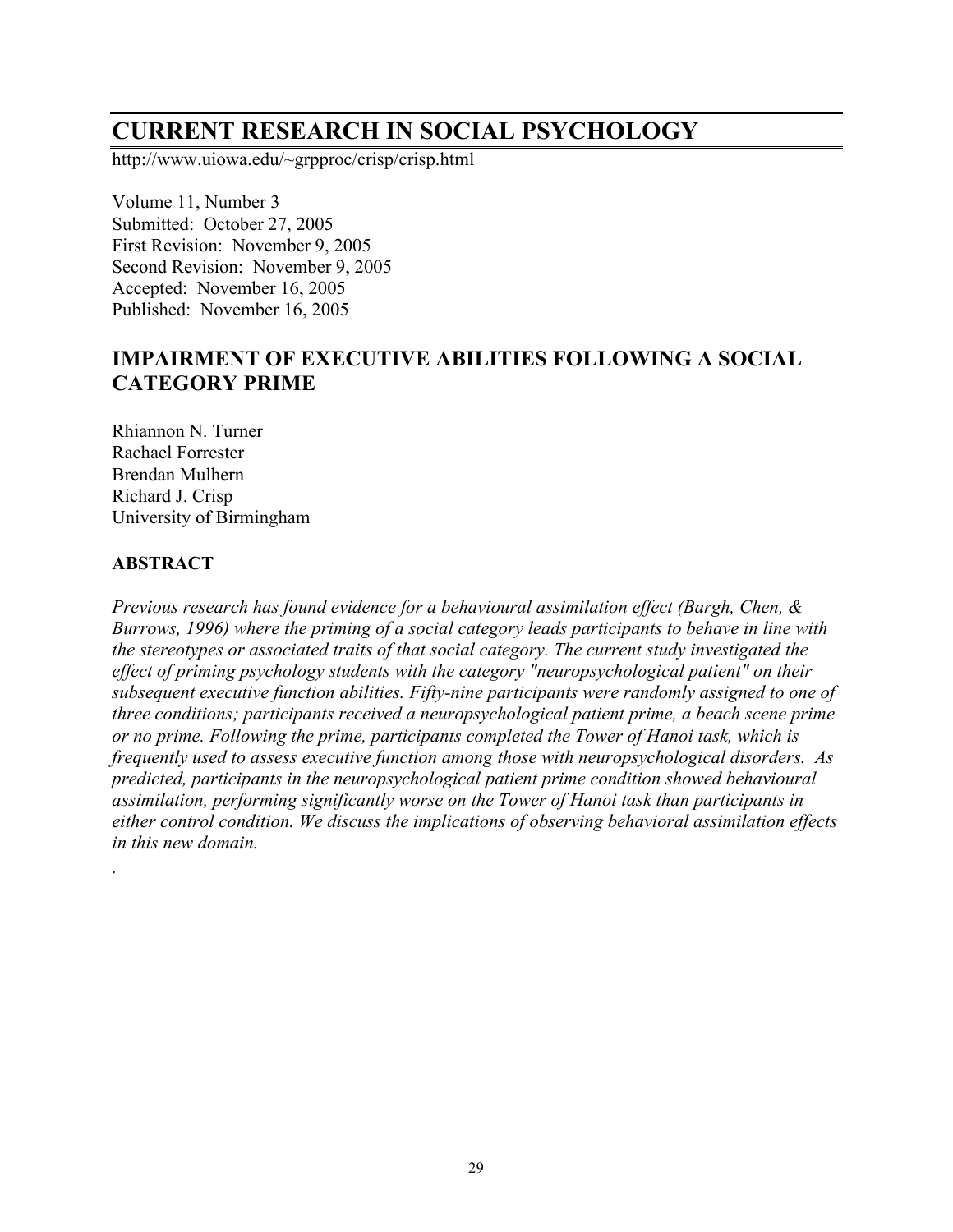# **CURRENT RESEARCH IN SOCIAL PSYCHOLOGY**

http://www.uiowa.edu/~grpproc/crisp/crisp.html

Volume 11, Number 3 Submitted: October 27, 2005 First Revision: November 9, 2005 Second Revision: November 9, 2005 Accepted: November 16, 2005 Published: November 16, 2005

# **IMPAIRMENT OF EXECUTIVE ABILITIES FOLLOWING A SOCIAL CATEGORY PRIME**

Rhiannon N. Turner Rachael Forrester Brendan Mulhern Richard J. Crisp University of Birmingham

# **ABSTRACT**

*.*

*Previous research has found evidence for a behavioural assimilation effect (Bargh, Chen, & Burrows, 1996) where the priming of a social category leads participants to behave in line with the stereotypes or associated traits of that social category. The current study investigated the effect of priming psychology students with the category "neuropsychological patient" on their subsequent executive function abilities. Fifty-nine participants were randomly assigned to one of three conditions; participants received a neuropsychological patient prime, a beach scene prime or no prime. Following the prime, participants completed the Tower of Hanoi task, which is frequently used to assess executive function among those with neuropsychological disorders. As predicted, participants in the neuropsychological patient prime condition showed behavioural assimilation, performing significantly worse on the Tower of Hanoi task than participants in either control condition. We discuss the implications of observing behavioral assimilation effects in this new domain.*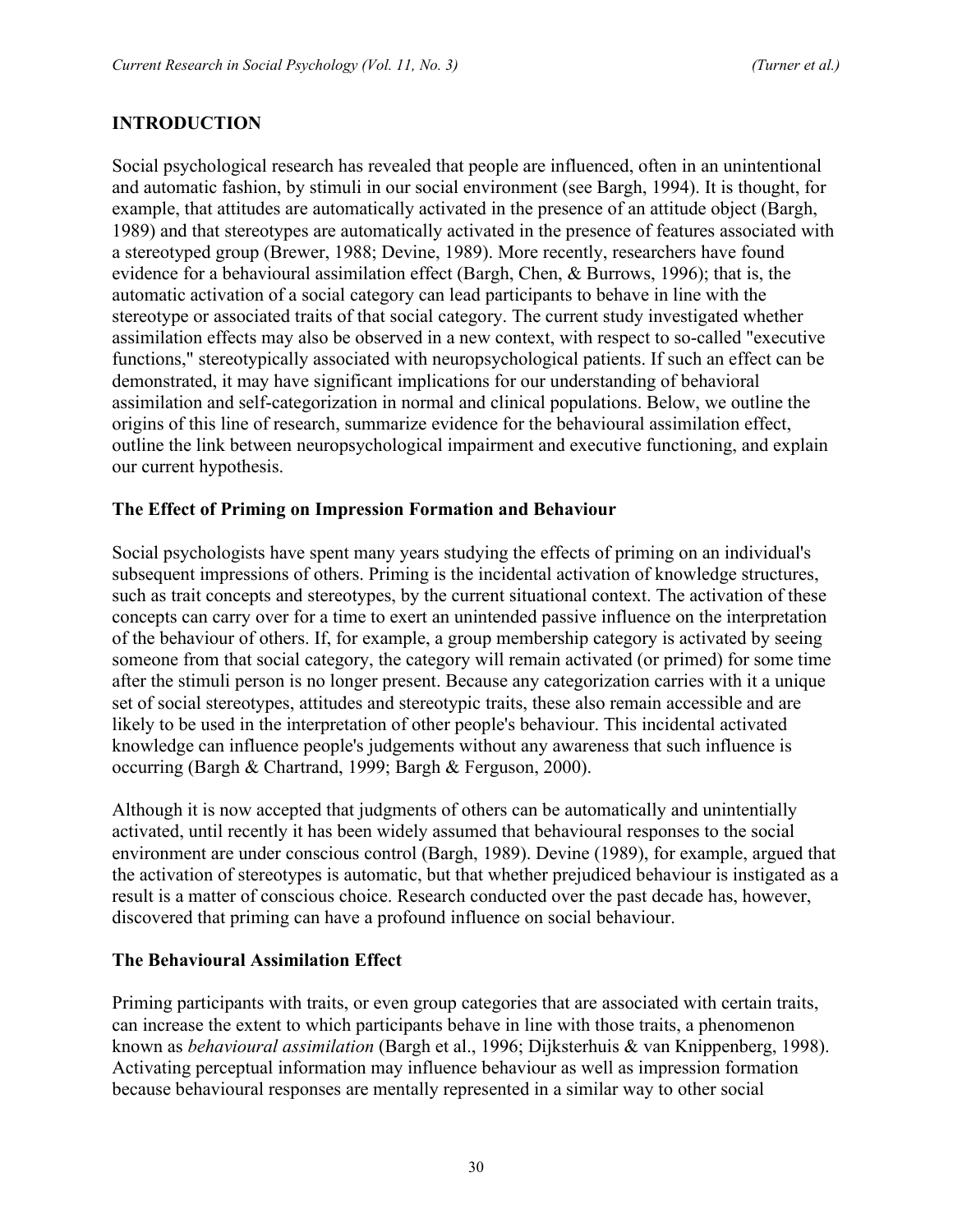# **INTRODUCTION**

Social psychological research has revealed that people are influenced, often in an unintentional and automatic fashion, by stimuli in our social environment (see Bargh, 1994). It is thought, for example, that attitudes are automatically activated in the presence of an attitude object (Bargh, 1989) and that stereotypes are automatically activated in the presence of features associated with a stereotyped group (Brewer, 1988; Devine, 1989). More recently, researchers have found evidence for a behavioural assimilation effect (Bargh, Chen, & Burrows, 1996); that is, the automatic activation of a social category can lead participants to behave in line with the stereotype or associated traits of that social category. The current study investigated whether assimilation effects may also be observed in a new context, with respect to so-called "executive functions," stereotypically associated with neuropsychological patients. If such an effect can be demonstrated, it may have significant implications for our understanding of behavioral assimilation and self-categorization in normal and clinical populations. Below, we outline the origins of this line of research, summarize evidence for the behavioural assimilation effect, outline the link between neuropsychological impairment and executive functioning, and explain our current hypothesis.

#### **The Effect of Priming on Impression Formation and Behaviour**

Social psychologists have spent many years studying the effects of priming on an individual's subsequent impressions of others. Priming is the incidental activation of knowledge structures, such as trait concepts and stereotypes, by the current situational context. The activation of these concepts can carry over for a time to exert an unintended passive influence on the interpretation of the behaviour of others. If, for example, a group membership category is activated by seeing someone from that social category, the category will remain activated (or primed) for some time after the stimuli person is no longer present. Because any categorization carries with it a unique set of social stereotypes, attitudes and stereotypic traits, these also remain accessible and are likely to be used in the interpretation of other people's behaviour. This incidental activated knowledge can influence people's judgements without any awareness that such influence is occurring (Bargh & Chartrand, 1999; Bargh & Ferguson, 2000).

Although it is now accepted that judgments of others can be automatically and unintentially activated, until recently it has been widely assumed that behavioural responses to the social environment are under conscious control (Bargh, 1989). Devine (1989), for example, argued that the activation of stereotypes is automatic, but that whether prejudiced behaviour is instigated as a result is a matter of conscious choice. Research conducted over the past decade has, however, discovered that priming can have a profound influence on social behaviour.

#### **The Behavioural Assimilation Effect**

Priming participants with traits, or even group categories that are associated with certain traits, can increase the extent to which participants behave in line with those traits, a phenomenon known as *behavioural assimilation* (Bargh et al., 1996; Dijksterhuis & van Knippenberg, 1998). Activating perceptual information may influence behaviour as well as impression formation because behavioural responses are mentally represented in a similar way to other social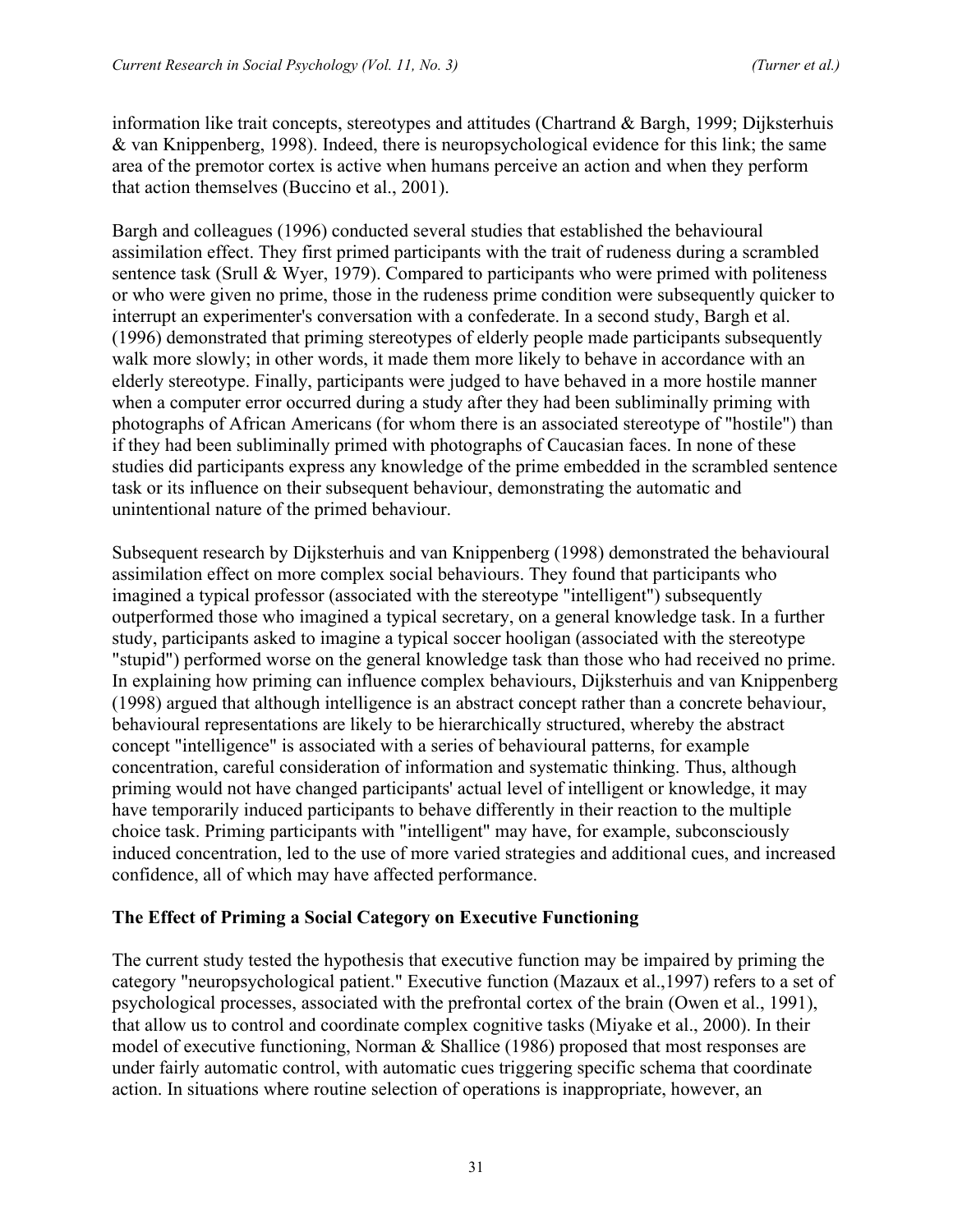information like trait concepts, stereotypes and attitudes (Chartrand & Bargh, 1999; Dijksterhuis & van Knippenberg, 1998). Indeed, there is neuropsychological evidence for this link; the same area of the premotor cortex is active when humans perceive an action and when they perform that action themselves (Buccino et al., 2001).

Bargh and colleagues (1996) conducted several studies that established the behavioural assimilation effect. They first primed participants with the trait of rudeness during a scrambled sentence task (Srull & Wyer, 1979). Compared to participants who were primed with politeness or who were given no prime, those in the rudeness prime condition were subsequently quicker to interrupt an experimenter's conversation with a confederate. In a second study, Bargh et al. (1996) demonstrated that priming stereotypes of elderly people made participants subsequently walk more slowly; in other words, it made them more likely to behave in accordance with an elderly stereotype. Finally, participants were judged to have behaved in a more hostile manner when a computer error occurred during a study after they had been subliminally priming with photographs of African Americans (for whom there is an associated stereotype of "hostile") than if they had been subliminally primed with photographs of Caucasian faces. In none of these studies did participants express any knowledge of the prime embedded in the scrambled sentence task or its influence on their subsequent behaviour, demonstrating the automatic and unintentional nature of the primed behaviour.

Subsequent research by Dijksterhuis and van Knippenberg (1998) demonstrated the behavioural assimilation effect on more complex social behaviours. They found that participants who imagined a typical professor (associated with the stereotype "intelligent") subsequently outperformed those who imagined a typical secretary, on a general knowledge task. In a further study, participants asked to imagine a typical soccer hooligan (associated with the stereotype "stupid") performed worse on the general knowledge task than those who had received no prime. In explaining how priming can influence complex behaviours, Dijksterhuis and van Knippenberg (1998) argued that although intelligence is an abstract concept rather than a concrete behaviour, behavioural representations are likely to be hierarchically structured, whereby the abstract concept "intelligence" is associated with a series of behavioural patterns, for example concentration, careful consideration of information and systematic thinking. Thus, although priming would not have changed participants' actual level of intelligent or knowledge, it may have temporarily induced participants to behave differently in their reaction to the multiple choice task. Priming participants with "intelligent" may have, for example, subconsciously induced concentration, led to the use of more varied strategies and additional cues, and increased confidence, all of which may have affected performance.

#### **The Effect of Priming a Social Category on Executive Functioning**

The current study tested the hypothesis that executive function may be impaired by priming the category "neuropsychological patient." Executive function (Mazaux et al.,1997) refers to a set of psychological processes, associated with the prefrontal cortex of the brain (Owen et al., 1991), that allow us to control and coordinate complex cognitive tasks (Miyake et al., 2000). In their model of executive functioning, Norman & Shallice (1986) proposed that most responses are under fairly automatic control, with automatic cues triggering specific schema that coordinate action. In situations where routine selection of operations is inappropriate, however, an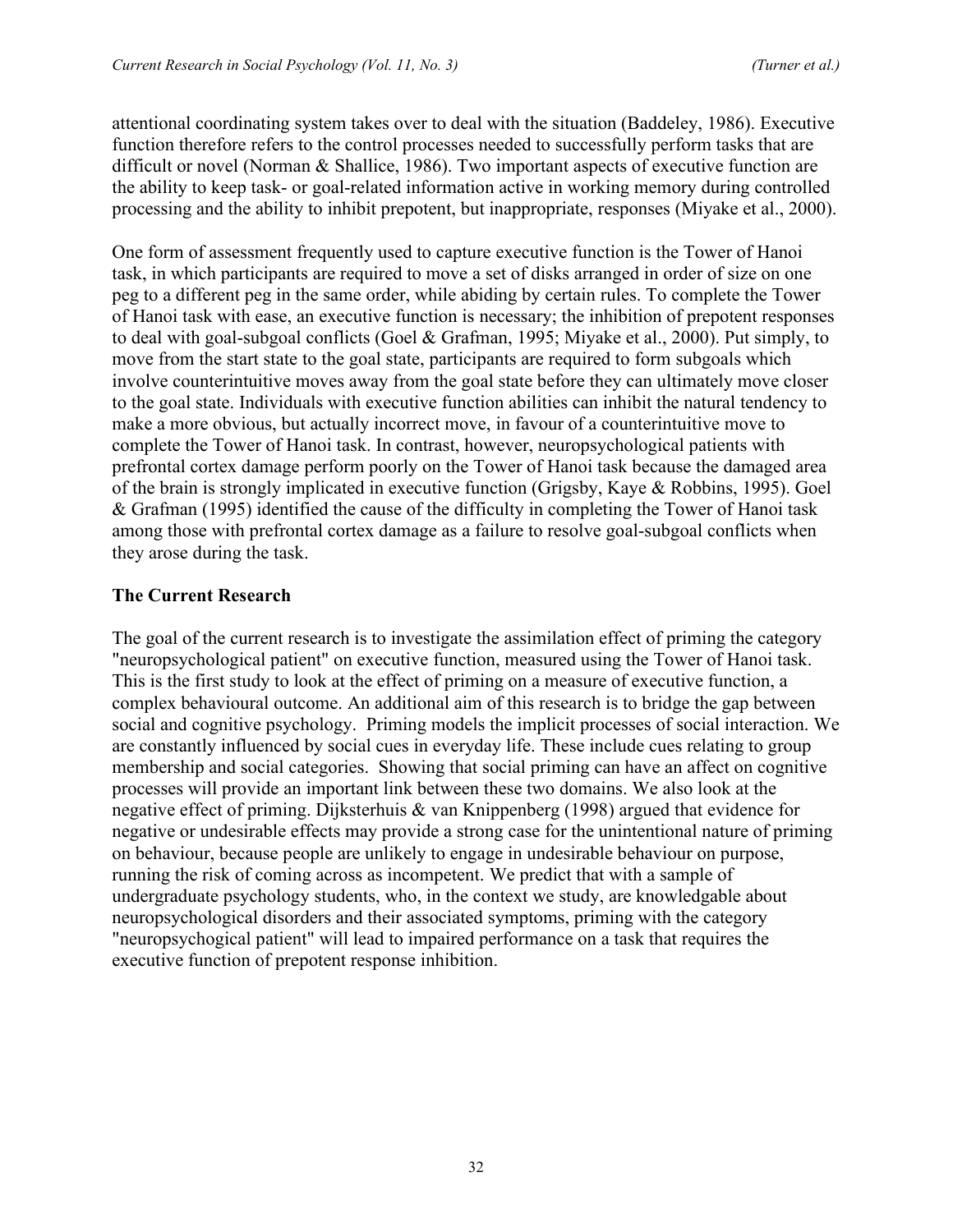attentional coordinating system takes over to deal with the situation (Baddeley, 1986). Executive function therefore refers to the control processes needed to successfully perform tasks that are difficult or novel (Norman & Shallice, 1986). Two important aspects of executive function are the ability to keep task- or goal-related information active in working memory during controlled processing and the ability to inhibit prepotent, but inappropriate, responses (Miyake et al., 2000).

One form of assessment frequently used to capture executive function is the Tower of Hanoi task, in which participants are required to move a set of disks arranged in order of size on one peg to a different peg in the same order, while abiding by certain rules. To complete the Tower of Hanoi task with ease, an executive function is necessary; the inhibition of prepotent responses to deal with goal-subgoal conflicts (Goel & Grafman, 1995; Miyake et al., 2000). Put simply, to move from the start state to the goal state, participants are required to form subgoals which involve counterintuitive moves away from the goal state before they can ultimately move closer to the goal state. Individuals with executive function abilities can inhibit the natural tendency to make a more obvious, but actually incorrect move, in favour of a counterintuitive move to complete the Tower of Hanoi task. In contrast, however, neuropsychological patients with prefrontal cortex damage perform poorly on the Tower of Hanoi task because the damaged area of the brain is strongly implicated in executive function (Grigsby, Kaye & Robbins, 1995). Goel & Grafman (1995) identified the cause of the difficulty in completing the Tower of Hanoi task among those with prefrontal cortex damage as a failure to resolve goal-subgoal conflicts when they arose during the task.

# **The Current Research**

The goal of the current research is to investigate the assimilation effect of priming the category "neuropsychological patient" on executive function, measured using the Tower of Hanoi task. This is the first study to look at the effect of priming on a measure of executive function, a complex behavioural outcome. An additional aim of this research is to bridge the gap between social and cognitive psychology. Priming models the implicit processes of social interaction. We are constantly influenced by social cues in everyday life. These include cues relating to group membership and social categories. Showing that social priming can have an affect on cognitive processes will provide an important link between these two domains. We also look at the negative effect of priming. Dijksterhuis & van Knippenberg (1998) argued that evidence for negative or undesirable effects may provide a strong case for the unintentional nature of priming on behaviour, because people are unlikely to engage in undesirable behaviour on purpose, running the risk of coming across as incompetent. We predict that with a sample of undergraduate psychology students, who, in the context we study, are knowledgable about neuropsychological disorders and their associated symptoms, priming with the category "neuropsychogical patient" will lead to impaired performance on a task that requires the executive function of prepotent response inhibition.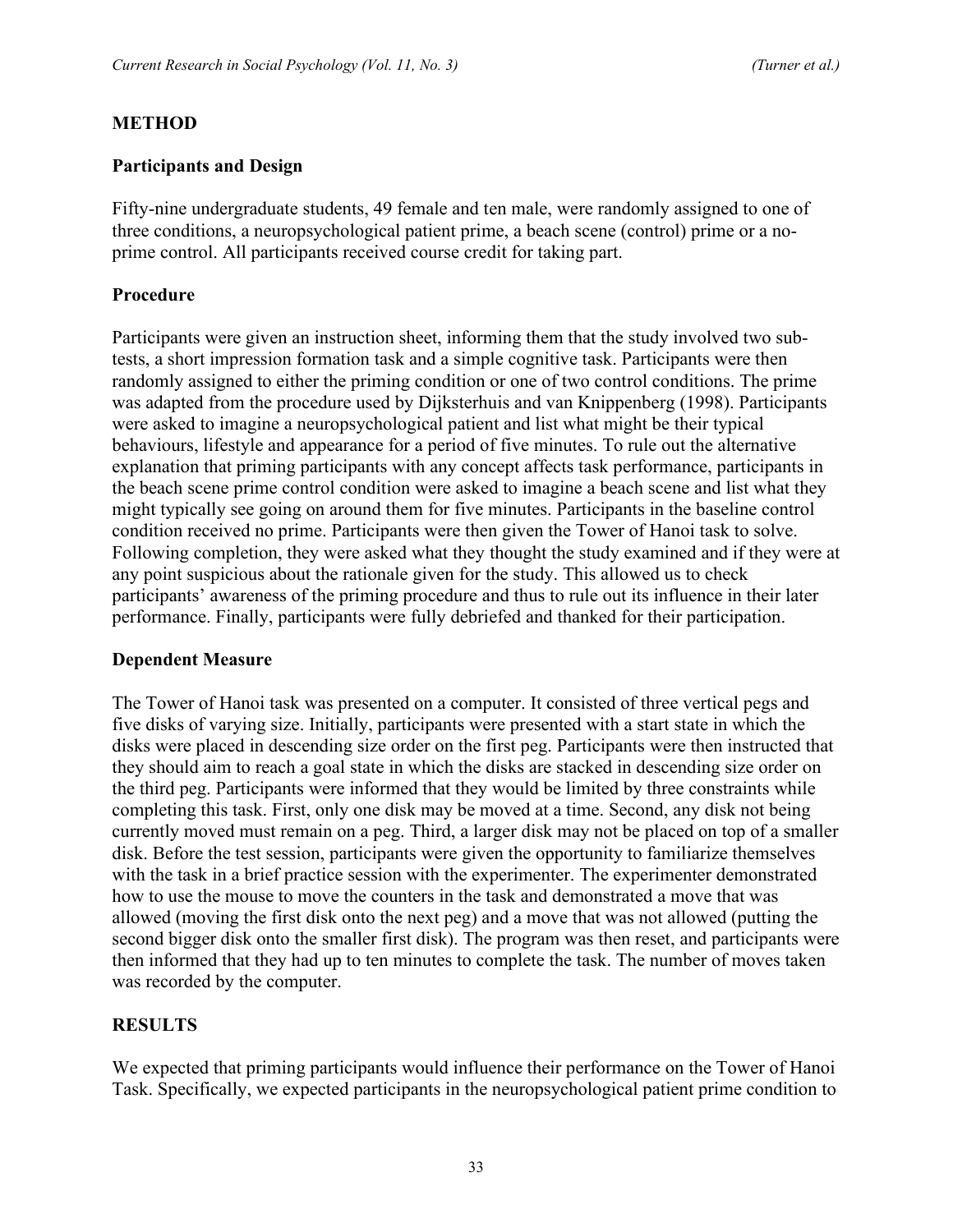#### **METHOD**

#### **Participants and Design**

Fifty-nine undergraduate students, 49 female and ten male, were randomly assigned to one of three conditions, a neuropsychological patient prime, a beach scene (control) prime or a noprime control. All participants received course credit for taking part.

#### **Procedure**

Participants were given an instruction sheet, informing them that the study involved two subtests, a short impression formation task and a simple cognitive task. Participants were then randomly assigned to either the priming condition or one of two control conditions. The prime was adapted from the procedure used by Dijksterhuis and van Knippenberg (1998). Participants were asked to imagine a neuropsychological patient and list what might be their typical behaviours, lifestyle and appearance for a period of five minutes. To rule out the alternative explanation that priming participants with any concept affects task performance, participants in the beach scene prime control condition were asked to imagine a beach scene and list what they might typically see going on around them for five minutes. Participants in the baseline control condition received no prime. Participants were then given the Tower of Hanoi task to solve. Following completion, they were asked what they thought the study examined and if they were at any point suspicious about the rationale given for the study. This allowed us to check participants' awareness of the priming procedure and thus to rule out its influence in their later performance. Finally, participants were fully debriefed and thanked for their participation.

#### **Dependent Measure**

The Tower of Hanoi task was presented on a computer. It consisted of three vertical pegs and five disks of varying size. Initially, participants were presented with a start state in which the disks were placed in descending size order on the first peg. Participants were then instructed that they should aim to reach a goal state in which the disks are stacked in descending size order on the third peg. Participants were informed that they would be limited by three constraints while completing this task. First, only one disk may be moved at a time. Second, any disk not being currently moved must remain on a peg. Third, a larger disk may not be placed on top of a smaller disk. Before the test session, participants were given the opportunity to familiarize themselves with the task in a brief practice session with the experimenter. The experimenter demonstrated how to use the mouse to move the counters in the task and demonstrated a move that was allowed (moving the first disk onto the next peg) and a move that was not allowed (putting the second bigger disk onto the smaller first disk). The program was then reset, and participants were then informed that they had up to ten minutes to complete the task. The number of moves taken was recorded by the computer.

#### **RESULTS**

We expected that priming participants would influence their performance on the Tower of Hanoi Task. Specifically, we expected participants in the neuropsychological patient prime condition to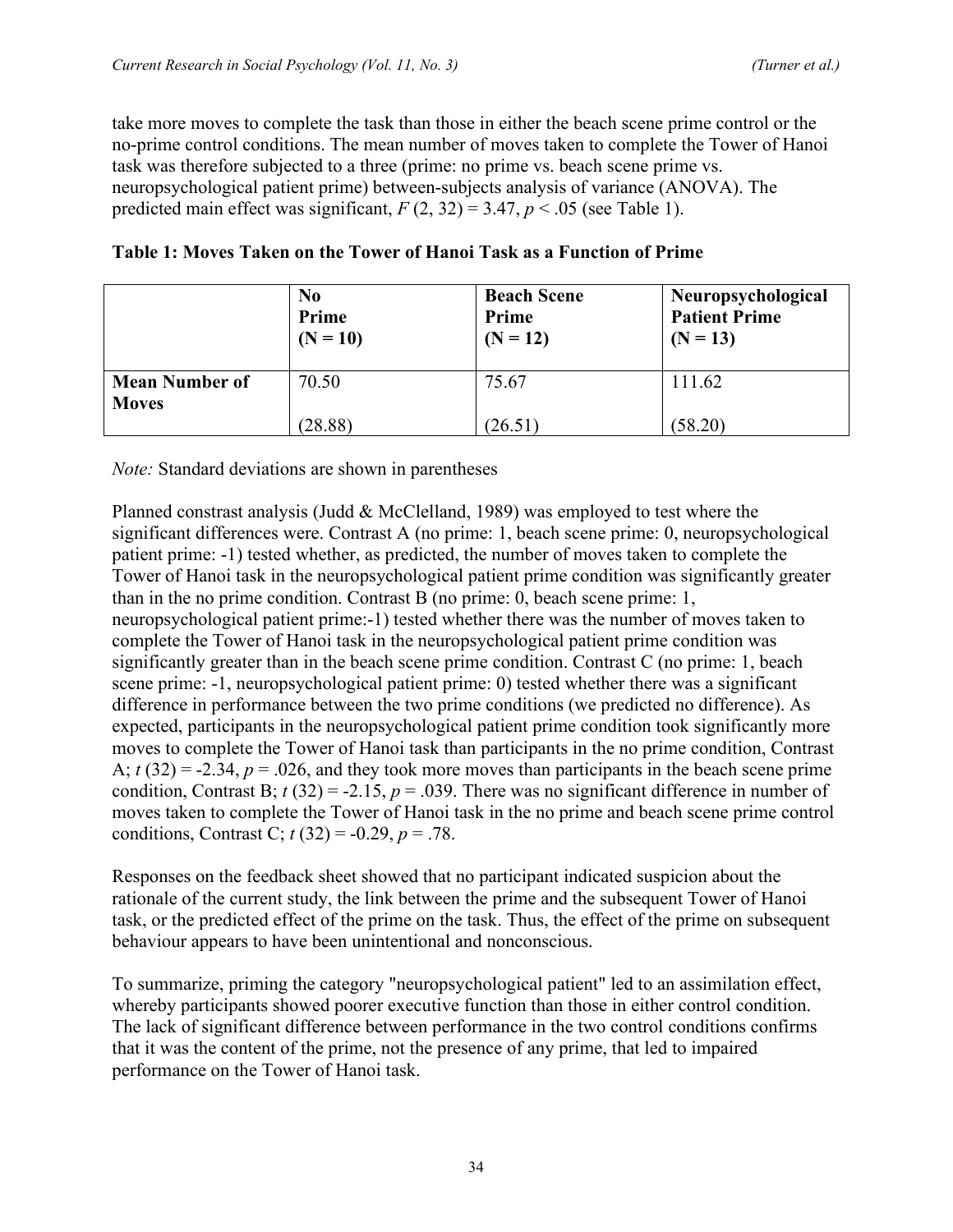take more moves to complete the task than those in either the beach scene prime control or the no-prime control conditions. The mean number of moves taken to complete the Tower of Hanoi task was therefore subjected to a three (prime: no prime vs. beach scene prime vs. neuropsychological patient prime) between-subjects analysis of variance (ANOVA). The predicted main effect was significant,  $F(2, 32) = 3.47$ ,  $p < .05$  (see Table 1).

|                                       | N <sub>0</sub><br>Prime<br>$(N = 10)$ | <b>Beach Scene</b><br>Prime<br>$(N = 12)$ | Neuropsychological<br><b>Patient Prime</b><br>$(N = 13)$ |  |
|---------------------------------------|---------------------------------------|-------------------------------------------|----------------------------------------------------------|--|
| <b>Mean Number of</b><br><b>Moves</b> | 70.50                                 | 75.67                                     | 111.62                                                   |  |
|                                       | (28.88)                               | (26.51)                                   | (58.20)                                                  |  |

| Table 1: Moves Taken on the Tower of Hanoi Task as a Function of Prime |  |  |  |  |  |  |  |  |
|------------------------------------------------------------------------|--|--|--|--|--|--|--|--|
|------------------------------------------------------------------------|--|--|--|--|--|--|--|--|

*Note:* Standard deviations are shown in parentheses

Planned constrast analysis (Judd  $\&$  McClelland, 1989) was employed to test where the significant differences were. Contrast A (no prime: 1, beach scene prime: 0, neuropsychological patient prime: -1) tested whether, as predicted, the number of moves taken to complete the Tower of Hanoi task in the neuropsychological patient prime condition was significantly greater than in the no prime condition. Contrast B (no prime: 0, beach scene prime: 1, neuropsychological patient prime:-1) tested whether there was the number of moves taken to complete the Tower of Hanoi task in the neuropsychological patient prime condition was significantly greater than in the beach scene prime condition. Contrast C (no prime: 1, beach scene prime: -1, neuropsychological patient prime: 0) tested whether there was a significant difference in performance between the two prime conditions (we predicted no difference). As expected, participants in the neuropsychological patient prime condition took significantly more moves to complete the Tower of Hanoi task than participants in the no prime condition, Contrast A;  $t(32) = -2.34$ ,  $p = .026$ , and they took more moves than participants in the beach scene prime condition, Contrast B;  $t(32) = -2.15$ ,  $p = .039$ . There was no significant difference in number of moves taken to complete the Tower of Hanoi task in the no prime and beach scene prime control conditions, Contrast C;  $t(32) = -0.29$ ,  $p = .78$ .

Responses on the feedback sheet showed that no participant indicated suspicion about the rationale of the current study, the link between the prime and the subsequent Tower of Hanoi task, or the predicted effect of the prime on the task. Thus, the effect of the prime on subsequent behaviour appears to have been unintentional and nonconscious.

To summarize, priming the category "neuropsychological patient" led to an assimilation effect, whereby participants showed poorer executive function than those in either control condition. The lack of significant difference between performance in the two control conditions confirms that it was the content of the prime, not the presence of any prime, that led to impaired performance on the Tower of Hanoi task.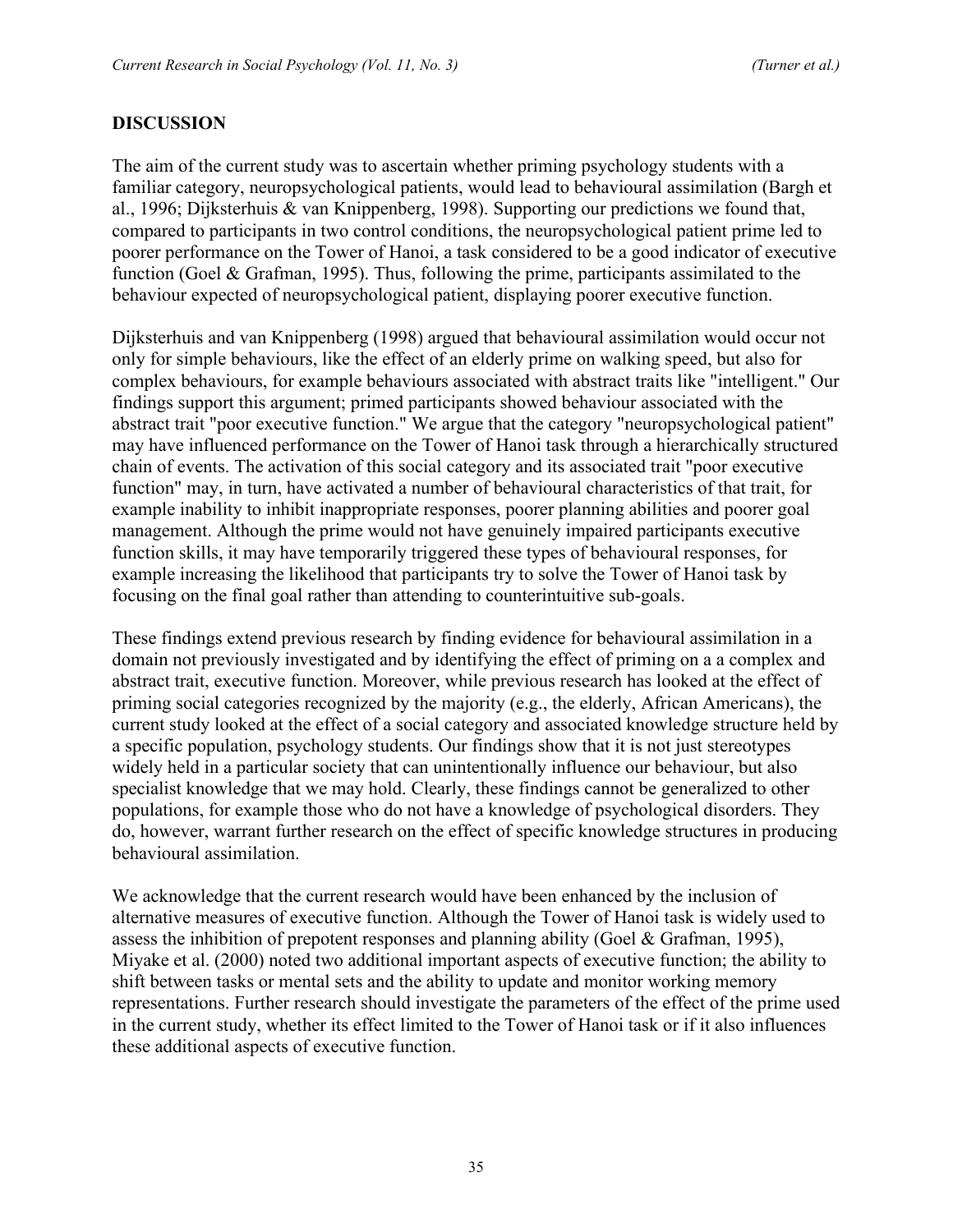#### **DISCUSSION**

The aim of the current study was to ascertain whether priming psychology students with a familiar category, neuropsychological patients, would lead to behavioural assimilation (Bargh et al., 1996; Dijksterhuis & van Knippenberg, 1998). Supporting our predictions we found that, compared to participants in two control conditions, the neuropsychological patient prime led to poorer performance on the Tower of Hanoi, a task considered to be a good indicator of executive function (Goel & Grafman, 1995). Thus, following the prime, participants assimilated to the behaviour expected of neuropsychological patient, displaying poorer executive function.

Dijksterhuis and van Knippenberg (1998) argued that behavioural assimilation would occur not only for simple behaviours, like the effect of an elderly prime on walking speed, but also for complex behaviours, for example behaviours associated with abstract traits like "intelligent." Our findings support this argument; primed participants showed behaviour associated with the abstract trait "poor executive function." We argue that the category "neuropsychological patient" may have influenced performance on the Tower of Hanoi task through a hierarchically structured chain of events. The activation of this social category and its associated trait "poor executive function" may, in turn, have activated a number of behavioural characteristics of that trait, for example inability to inhibit inappropriate responses, poorer planning abilities and poorer goal management. Although the prime would not have genuinely impaired participants executive function skills, it may have temporarily triggered these types of behavioural responses, for example increasing the likelihood that participants try to solve the Tower of Hanoi task by focusing on the final goal rather than attending to counterintuitive sub-goals.

These findings extend previous research by finding evidence for behavioural assimilation in a domain not previously investigated and by identifying the effect of priming on a a complex and abstract trait, executive function. Moreover, while previous research has looked at the effect of priming social categories recognized by the majority (e.g., the elderly, African Americans), the current study looked at the effect of a social category and associated knowledge structure held by a specific population, psychology students. Our findings show that it is not just stereotypes widely held in a particular society that can unintentionally influence our behaviour, but also specialist knowledge that we may hold. Clearly, these findings cannot be generalized to other populations, for example those who do not have a knowledge of psychological disorders. They do, however, warrant further research on the effect of specific knowledge structures in producing behavioural assimilation.

We acknowledge that the current research would have been enhanced by the inclusion of alternative measures of executive function. Although the Tower of Hanoi task is widely used to assess the inhibition of prepotent responses and planning ability (Goel & Grafman, 1995), Miyake et al. (2000) noted two additional important aspects of executive function; the ability to shift between tasks or mental sets and the ability to update and monitor working memory representations. Further research should investigate the parameters of the effect of the prime used in the current study, whether its effect limited to the Tower of Hanoi task or if it also influences these additional aspects of executive function.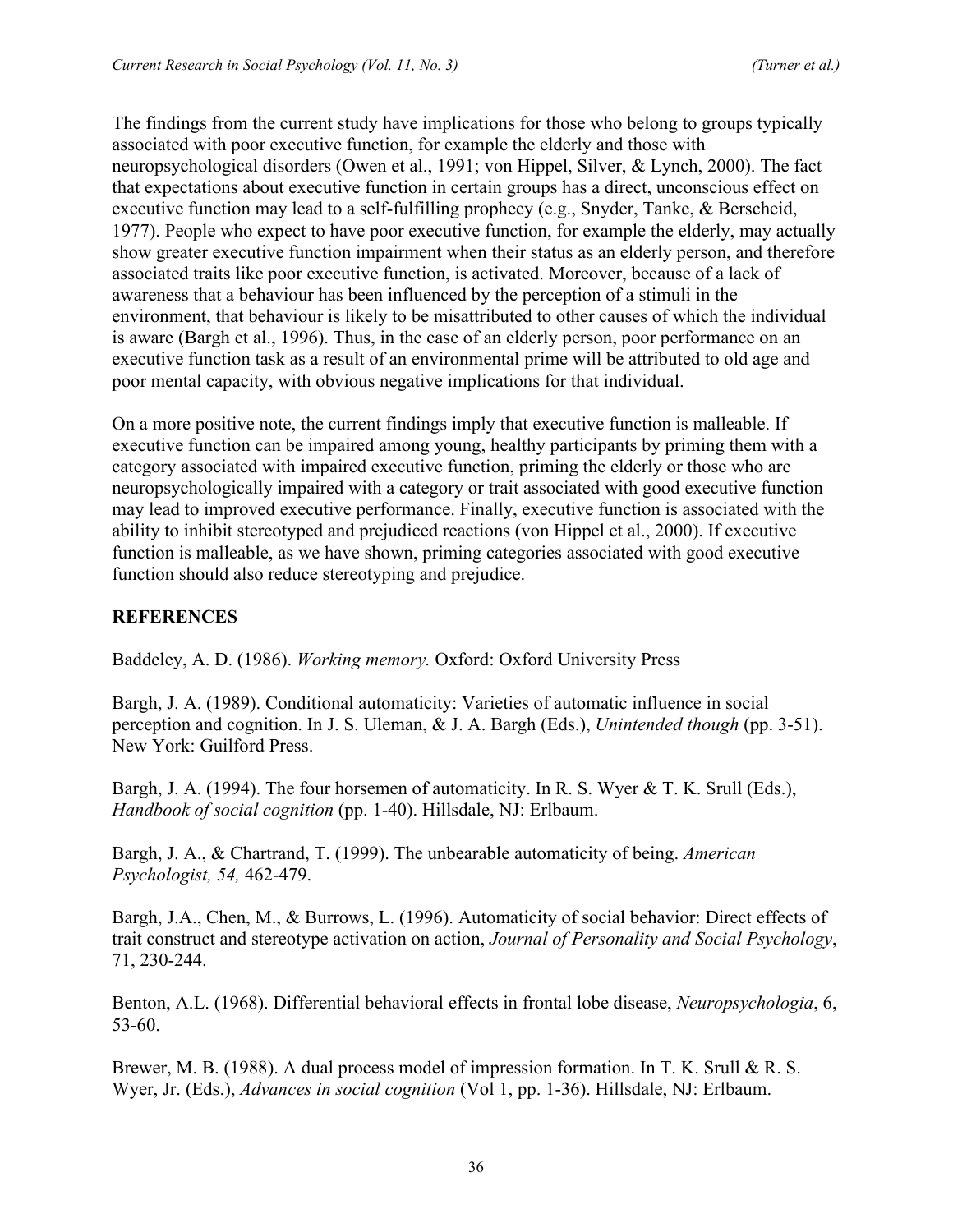The findings from the current study have implications for those who belong to groups typically associated with poor executive function, for example the elderly and those with neuropsychological disorders (Owen et al., 1991; von Hippel, Silver, & Lynch, 2000). The fact that expectations about executive function in certain groups has a direct, unconscious effect on executive function may lead to a self-fulfilling prophecy (e.g., Snyder, Tanke, & Berscheid, 1977). People who expect to have poor executive function, for example the elderly, may actually show greater executive function impairment when their status as an elderly person, and therefore associated traits like poor executive function, is activated. Moreover, because of a lack of awareness that a behaviour has been influenced by the perception of a stimuli in the environment, that behaviour is likely to be misattributed to other causes of which the individual is aware (Bargh et al., 1996). Thus, in the case of an elderly person, poor performance on an executive function task as a result of an environmental prime will be attributed to old age and poor mental capacity, with obvious negative implications for that individual.

On a more positive note, the current findings imply that executive function is malleable. If executive function can be impaired among young, healthy participants by priming them with a category associated with impaired executive function, priming the elderly or those who are neuropsychologically impaired with a category or trait associated with good executive function may lead to improved executive performance. Finally, executive function is associated with the ability to inhibit stereotyped and prejudiced reactions (von Hippel et al., 2000). If executive function is malleable, as we have shown, priming categories associated with good executive function should also reduce stereotyping and prejudice.

# **REFERENCES**

Baddeley, A. D. (1986). *Working memory.* Oxford: Oxford University Press

Bargh, J. A. (1989). Conditional automaticity: Varieties of automatic influence in social perception and cognition. In J. S. Uleman, & J. A. Bargh (Eds.), *Unintended though* (pp. 3-51). New York: Guilford Press.

Bargh, J. A. (1994). The four horsemen of automaticity. In R. S. Wyer & T. K. Srull (Eds.), *Handbook of social cognition* (pp. 1-40). Hillsdale, NJ: Erlbaum.

Bargh, J. A., & Chartrand, T. (1999). The unbearable automaticity of being. *American Psychologist, 54,* 462-479.

Bargh, J.A., Chen, M., & Burrows, L. (1996). Automaticity of social behavior: Direct effects of trait construct and stereotype activation on action, *Journal of Personality and Social Psychology*, 71, 230-244.

Benton, A.L. (1968). Differential behavioral effects in frontal lobe disease, *Neuropsychologia*, 6, 53-60.

Brewer, M. B. (1988). A dual process model of impression formation. In T. K. Srull & R. S. Wyer, Jr. (Eds.), *Advances in social cognition* (Vol 1, pp. 1-36). Hillsdale, NJ: Erlbaum.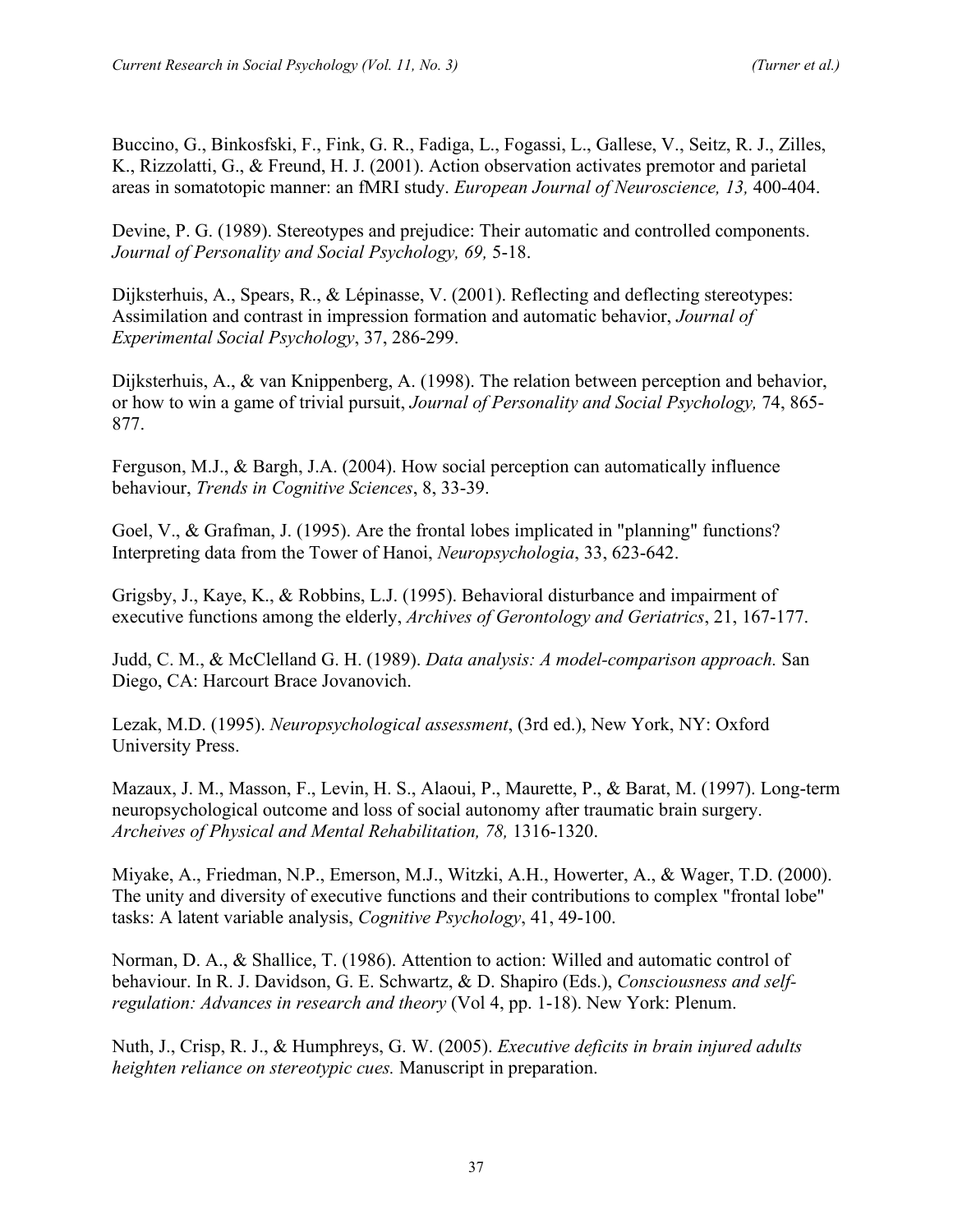Buccino, G., Binkosfski, F., Fink, G. R., Fadiga, L., Fogassi, L., Gallese, V., Seitz, R. J., Zilles, K., Rizzolatti, G., & Freund, H. J. (2001). Action observation activates premotor and parietal areas in somatotopic manner: an fMRI study. *European Journal of Neuroscience, 13,* 400-404.

Devine, P. G. (1989). Stereotypes and prejudice: Their automatic and controlled components. *Journal of Personality and Social Psychology, 69,* 5-18.

Dijksterhuis, A., Spears, R., & Lépinasse, V. (2001). Reflecting and deflecting stereotypes: Assimilation and contrast in impression formation and automatic behavior, *Journal of Experimental Social Psychology*, 37, 286-299.

Dijksterhuis, A., & van Knippenberg, A. (1998). The relation between perception and behavior, or how to win a game of trivial pursuit, *Journal of Personality and Social Psychology,* 74, 865- 877.

Ferguson, M.J., & Bargh, J.A. (2004). How social perception can automatically influence behaviour, *Trends in Cognitive Sciences*, 8, 33-39.

Goel, V., & Grafman, J. (1995). Are the frontal lobes implicated in "planning" functions? Interpreting data from the Tower of Hanoi, *Neuropsychologia*, 33, 623-642.

Grigsby, J., Kaye, K., & Robbins, L.J. (1995). Behavioral disturbance and impairment of executive functions among the elderly, *Archives of Gerontology and Geriatrics*, 21, 167-177.

Judd, C. M., & McClelland G. H. (1989). *Data analysis: A model-comparison approach.* San Diego, CA: Harcourt Brace Jovanovich.

Lezak, M.D. (1995). *Neuropsychological assessment*, (3rd ed.), New York, NY: Oxford University Press.

Mazaux, J. M., Masson, F., Levin, H. S., Alaoui, P., Maurette, P., & Barat, M. (1997). Long-term neuropsychological outcome and loss of social autonomy after traumatic brain surgery. *Archeives of Physical and Mental Rehabilitation, 78,* 1316-1320.

Miyake, A., Friedman, N.P., Emerson, M.J., Witzki, A.H., Howerter, A., & Wager, T.D. (2000). The unity and diversity of executive functions and their contributions to complex "frontal lobe" tasks: A latent variable analysis, *Cognitive Psychology*, 41, 49-100.

Norman, D. A., & Shallice, T. (1986). Attention to action: Willed and automatic control of behaviour. In R. J. Davidson, G. E. Schwartz, & D. Shapiro (Eds.), *Consciousness and selfregulation: Advances in research and theory* (Vol 4, pp. 1-18). New York: Plenum.

Nuth, J., Crisp, R. J., & Humphreys, G. W. (2005). *Executive deficits in brain injured adults heighten reliance on stereotypic cues.* Manuscript in preparation.